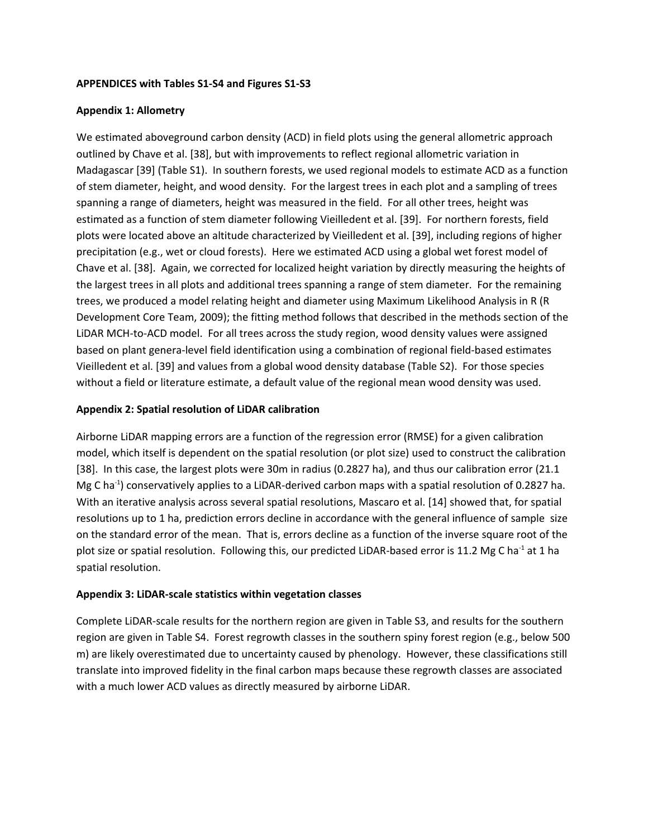## **APPENDICES with Tables S1-S4 and Figures S1-S3**

## **Appendix 1: Allometry**

We estimated aboveground carbon density (ACD) in field plots using the general allometric approach outlined by Chave et al. [38], but with improvements to reflect regional allometric variation in Madagascar [39] (Table S1). In southern forests, we used regional models to estimate ACD as a function of stem diameter, height, and wood density. For the largest trees in each plot and a sampling of trees spanning a range of diameters, height was measured in the field. For all other trees, height was estimated as a function of stem diameter following Vieilledent et al. [39]. For northern forests, field plots were located above an altitude characterized by Vieilledent et al. [39], including regions of higher precipitation (e.g., wet or cloud forests). Here we estimated ACD using a global wet forest model of Chave et al. [38]. Again, we corrected for localized height variation by directly measuring the heights of the largest trees in all plots and additional trees spanning a range of stem diameter. For the remaining trees, we produced a model relating height and diameter using Maximum Likelihood Analysis in R (R Development Core Team, 2009); the fitting method follows that described in the methods section of the LiDAR MCH-to-ACD model. For all trees across the study region, wood density values were assigned based on plant genera-level field identification using a combination of regional field-based estimates Vieilledent et al. [39] and values from a global wood density database (Table S2). For those species without a field or literature estimate, a default value of the regional mean wood density was used.

## **Appendix 2: Spatial resolution of LiDAR calibration**

Airborne LiDAR mapping errors are a function of the regression error (RMSE) for a given calibration model, which itself is dependent on the spatial resolution (or plot size) used to construct the calibration [38]. In this case, the largest plots were 30m in radius (0.2827 ha), and thus our calibration error (21.1 Mg C ha-1) conservatively applies to a LiDAR-derived carbon maps with a spatial resolution of 0.2827 ha. With an iterative analysis across several spatial resolutions, Mascaro et al. [14] showed that, for spatial resolutions up to 1 ha, prediction errors decline in accordance with the general influence of sample size on the standard error of the mean. That is, errors decline as a function of the inverse square root of the plot size or spatial resolution. Following this, our predicted LiDAR-based error is 11.2 Mg C ha<sup>-1</sup> at 1 ha spatial resolution.

#### **Appendix 3: LiDAR-scale statistics within vegetation classes**

Complete LiDAR-scale results for the northern region are given in Table S3, and results for the southern region are given in Table S4. Forest regrowth classes in the southern spiny forest region (e.g., below 500 m) are likely overestimated due to uncertainty caused by phenology. However, these classifications still translate into improved fidelity in the final carbon maps because these regrowth classes are associated with a much lower ACD values as directly measured by airborne LiDAR.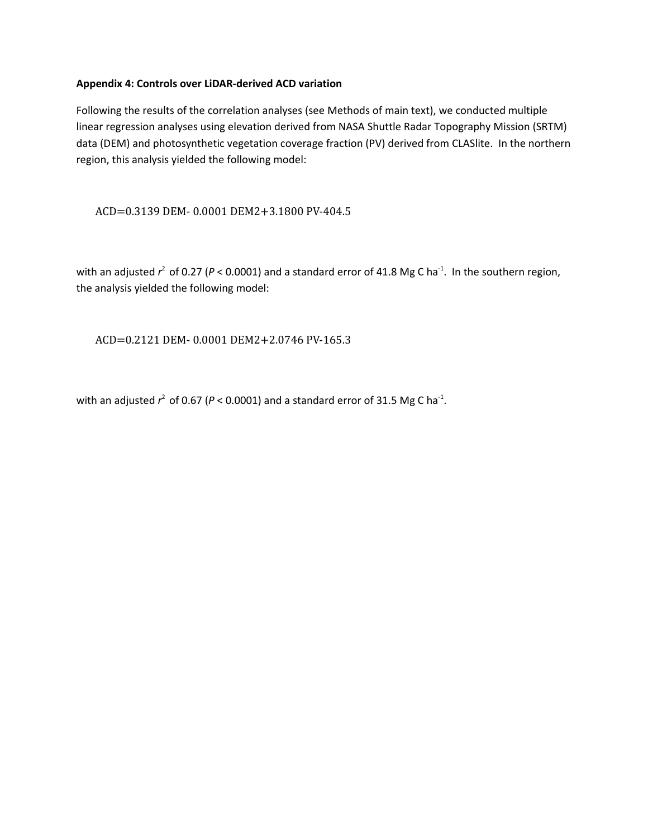## **Appendix 4: Controls over LiDAR-derived ACD variation**

Following the results of the correlation analyses (see Methods of main text), we conducted multiple linear regression analyses using elevation derived from NASA Shuttle Radar Topography Mission (SRTM) data (DEM) and photosynthetic vegetation coverage fraction (PV) derived from CLASlite. In the northern region, this analysis yielded the following model:

## ACD=0.3139 DEM- 0.0001 DEM2+3.1800 PV-404.5

with an adjusted  $r^2$  of 0.27 (*P* < 0.0001) and a standard error of 41.8 Mg C ha<sup>-1</sup>. In the southern region, the analysis yielded the following model:

ACD=0.2121 DEM- 0.0001 DEM2+2.0746 PV-165.3

with an adjusted  $r^2$  of 0.67 ( $P < 0.0001$ ) and a standard error of 31.5 Mg C ha<sup>-1</sup>.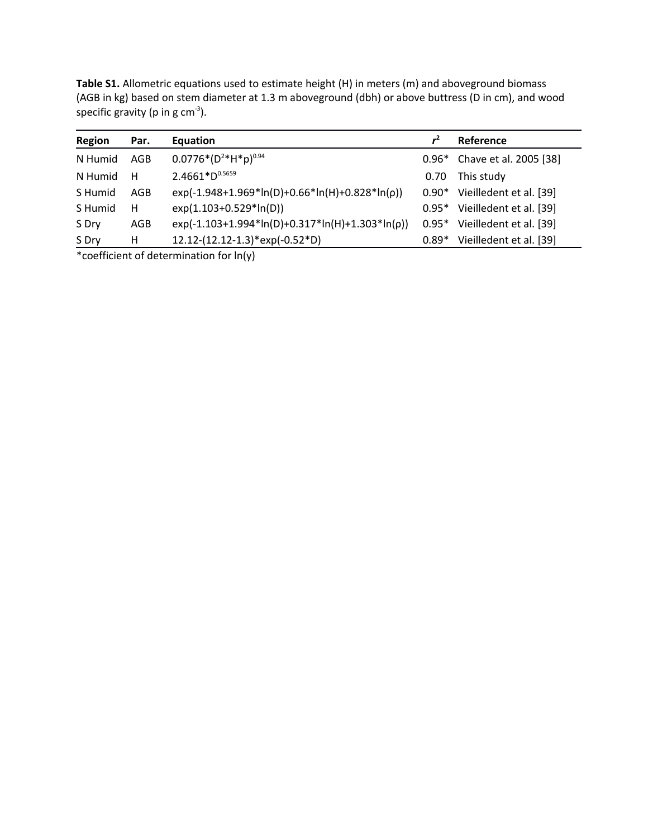| <b>Region</b> | Par. | Equation                                          |         | Reference                    |
|---------------|------|---------------------------------------------------|---------|------------------------------|
| N Humid       | AGB  | $0.0776*(D^{2}*H*p)^{0.94}$                       |         | 0.96* Chave et al. 2005 [38] |
| N Humid       | н    | $2.4661*D^{0.5659}$                               | 0.70    | This study                   |
| S Humid       | AGB  | $exp(-1.948+1.969*ln(D)+0.66*ln(H)+0.828*ln(p))$  | $0.90*$ | Vieilledent et al. [39]      |
| S Humid       | н    | exp(1.103+0.529*ln(D))                            | $0.95*$ | Vieilledent et al. [39]      |
| S Dry         | AGB  | $exp(-1.103+1.994*ln(D)+0.317*ln(H)+1.303*ln(p))$ | $0.95*$ | Vieilledent et al. [39]      |
| S Dry         | н    | $12.12-(12.12-1.3)*exp(-0.52*D)$                  | $0.89*$ | Vieilledent et al. [39]      |

**Table S1.** Allometric equations used to estimate height (H) in meters (m) and aboveground biomass (AGB in kg) based on stem diameter at 1.3 m aboveground (dbh) or above buttress (D in cm), and wood specific gravity (p in g  $cm^{-3}$ ).

\*coefficient of determination for ln(y)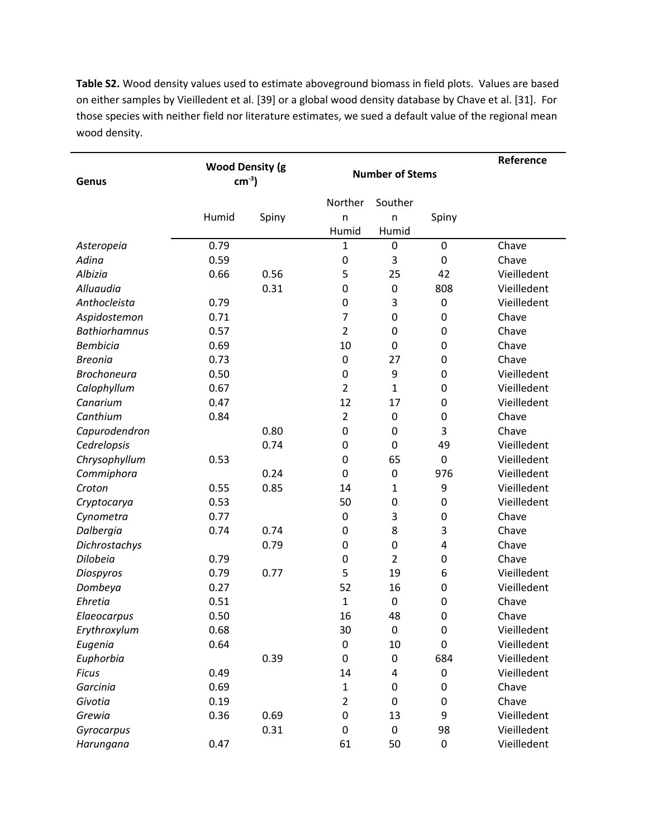**Table S2.** Wood density values used to estimate aboveground biomass in field plots. Values are based on either samples by Vieilledent et al. [39] or a global wood density database by Chave et al. [31]. For those species with neither field nor literature estimates, we sued a default value of the regional mean wood density.

| Genus                | <b>Wood Density (g</b><br>$cm-3$ |       | <b>Number of Stems</b> |                  |                  | Reference   |
|----------------------|----------------------------------|-------|------------------------|------------------|------------------|-------------|
|                      |                                  |       | Norther                | Souther          |                  |             |
|                      | Humid                            | Spiny | n                      | n                | Spiny            |             |
|                      |                                  |       | Humid                  | Humid            |                  |             |
| Asteropeia           | 0.79                             |       | 1                      | $\mathbf 0$      | $\mathbf 0$      | Chave       |
| Adina                | 0.59                             |       | $\mathbf 0$            | 3                | $\mathbf 0$      | Chave       |
| Albizia              | 0.66                             | 0.56  | 5                      | 25               | 42               | Vieilledent |
| Alluaudia            |                                  | 0.31  | 0                      | $\mathbf 0$      | 808              | Vieilledent |
| Anthocleista         | 0.79                             |       | 0                      | 3                | $\pmb{0}$        | Vieilledent |
| Aspidostemon         | 0.71                             |       | 7                      | 0                | $\mathbf 0$      | Chave       |
| <b>Bathiorhamnus</b> | 0.57                             |       | $\overline{2}$         | 0                | $\mathbf 0$      | Chave       |
| <b>Bembicia</b>      | 0.69                             |       | 10                     | 0                | 0                | Chave       |
| <b>Breonia</b>       | 0.73                             |       | 0                      | 27               | 0                | Chave       |
| <b>Brochoneura</b>   | 0.50                             |       | 0                      | 9                | $\mathbf 0$      | Vieilledent |
| Calophyllum          | 0.67                             |       | $\overline{2}$         | $\mathbf{1}$     | $\mathbf 0$      | Vieilledent |
| Canarium             | 0.47                             |       | 12                     | 17               | $\mathbf 0$      | Vieilledent |
| Canthium             | 0.84                             |       | $\overline{2}$         | $\mathbf 0$      | $\mathbf 0$      | Chave       |
| Capurodendron        |                                  | 0.80  | 0                      | $\mathbf 0$      | 3                | Chave       |
| Cedrelopsis          |                                  | 0.74  | $\mathbf 0$            | $\mathbf 0$      | 49               | Vieilledent |
| Chrysophyllum        | 0.53                             |       | 0                      | 65               | $\pmb{0}$        | Vieilledent |
| Commiphora           |                                  | 0.24  | 0                      | $\mathbf 0$      | 976              | Vieilledent |
| Croton               | 0.55                             | 0.85  | 14                     | $\mathbf{1}$     | 9                | Vieilledent |
| Cryptocarya          | 0.53                             |       | 50                     | 0                | $\mathbf 0$      | Vieilledent |
| Cynometra            | 0.77                             |       | $\boldsymbol{0}$       | 3                | $\pmb{0}$        | Chave       |
| Dalbergia            | 0.74                             | 0.74  | 0                      | 8                | 3                | Chave       |
| Dichrostachys        |                                  | 0.79  | 0                      | 0                | 4                | Chave       |
| Dilobeia             | 0.79                             |       | $\mathbf 0$            | $\overline{2}$   | $\mathbf 0$      | Chave       |
| Diospyros            | 0.79                             | 0.77  | 5                      | 19               | 6                | Vieilledent |
| Dombeya              | 0.27                             |       | 52                     | 16               | $\mathbf 0$      | Vieilledent |
| Ehretia              | 0.51                             |       | $\mathbf{1}$           | $\mathbf 0$      | 0                | Chave       |
| Elaeocarpus          | 0.50                             |       | 16                     | 48               | $\mathbf 0$      | Chave       |
| Erythroxylum         | 0.68                             |       | 30                     | $\boldsymbol{0}$ | $\pmb{0}$        | Vieilledent |
| Eugenia              | 0.64                             |       | $\pmb{0}$              | 10               | $\boldsymbol{0}$ | Vieilledent |
| Euphorbia            |                                  | 0.39  | 0                      | $\boldsymbol{0}$ | 684              | Vieilledent |
| <b>Ficus</b>         | 0.49                             |       | 14                     | 4                | $\pmb{0}$        | Vieilledent |
| Garcinia             | 0.69                             |       | $\mathbf 1$            | 0                | $\pmb{0}$        | Chave       |
| Givotia              | 0.19                             |       | $\overline{2}$         | 0                | $\pmb{0}$        | Chave       |
| Grewia               | 0.36                             | 0.69  | $\boldsymbol{0}$       | 13               | 9                | Vieilledent |
| Gyrocarpus           |                                  | 0.31  | 0                      | $\boldsymbol{0}$ | 98               | Vieilledent |
| Harungana            | 0.47                             |       | 61                     | 50               | $\pmb{0}$        | Vieilledent |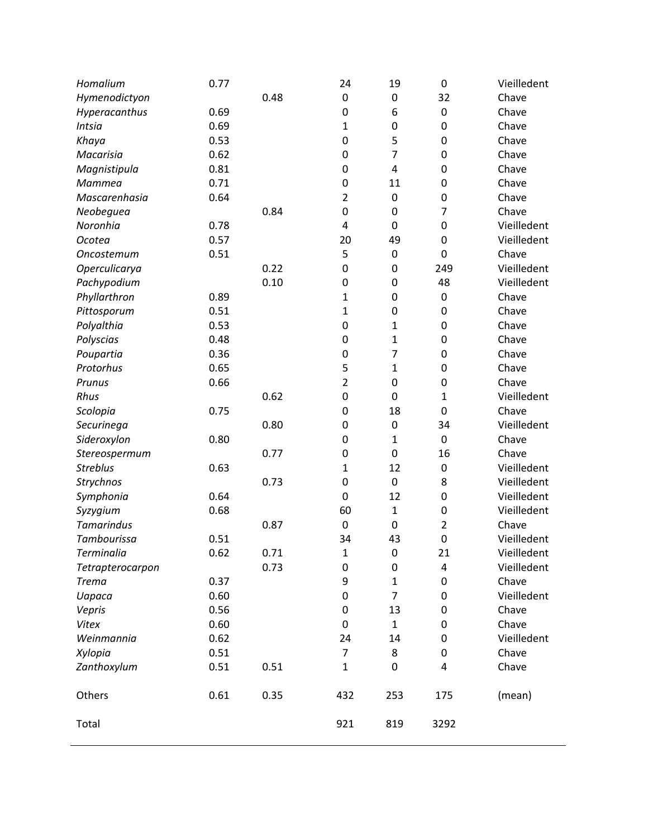| Homalium          | 0.77 |      | 24               | 19               | 0              | Vieilledent |
|-------------------|------|------|------------------|------------------|----------------|-------------|
| Hymenodictyon     |      | 0.48 | $\mathbf 0$      | $\mathbf 0$      | 32             | Chave       |
| Hyperacanthus     | 0.69 |      | 0                | 6                | $\mathbf 0$    | Chave       |
| <b>Intsia</b>     | 0.69 |      | 1                | $\boldsymbol{0}$ | $\mathbf 0$    | Chave       |
| Khaya             | 0.53 |      | 0                | 5                | $\mathbf 0$    | Chave       |
| Macarisia         | 0.62 |      | $\mathbf 0$      | $\overline{7}$   | $\mathbf 0$    | Chave       |
| Magnistipula      | 0.81 |      | 0                | $\overline{4}$   | $\mathbf 0$    | Chave       |
| Mammea            | 0.71 |      | $\mathbf 0$      | 11               | 0              | Chave       |
| Mascarenhasia     | 0.64 |      | 2                | $\mathbf 0$      | 0              | Chave       |
| Neobeguea         |      | 0.84 | $\mathbf 0$      | $\mathbf 0$      | $\overline{7}$ | Chave       |
| Noronhia          | 0.78 |      | 4                | $\mathbf 0$      | $\mathbf 0$    | Vieilledent |
| Ocotea            | 0.57 |      | 20               | 49               | $\mathbf 0$    | Vieilledent |
| Oncostemum        | 0.51 |      | 5                | $\mathbf 0$      | 0              | Chave       |
| Operculicarya     |      | 0.22 | $\mathbf 0$      | $\mathbf 0$      | 249            | Vieilledent |
| Pachypodium       |      | 0.10 | $\mathbf 0$      | $\mathbf 0$      | 48             | Vieilledent |
| Phyllarthron      | 0.89 |      | $\mathbf 1$      | $\mathbf 0$      | $\mathbf 0$    | Chave       |
| Pittosporum       | 0.51 |      | $\mathbf 1$      | $\mathbf 0$      | 0              | Chave       |
| Polyalthia        | 0.53 |      | 0                | $\mathbf{1}$     | 0              | Chave       |
| Polyscias         | 0.48 |      | 0                | $\mathbf{1}$     | $\mathbf 0$    | Chave       |
| Poupartia         | 0.36 |      | 0                | 7                | 0              | Chave       |
| Protorhus         | 0.65 |      | 5                | $\mathbf{1}$     | 0              | Chave       |
| Prunus            | 0.66 |      | $\overline{2}$   | $\mathbf 0$      | 0              | Chave       |
| Rhus              |      | 0.62 | $\boldsymbol{0}$ | $\mathbf 0$      | $\mathbf{1}$   | Vieilledent |
| Scolopia          | 0.75 |      | 0                | 18               | $\mathbf 0$    | Chave       |
| Securinega        |      | 0.80 | $\mathbf 0$      | $\mathbf 0$      | 34             | Vieilledent |
| Sideroxylon       | 0.80 |      | $\mathbf 0$      | $\mathbf{1}$     | 0              | Chave       |
| Stereospermum     |      | 0.77 | $\mathbf 0$      | $\mathbf 0$      | 16             | Chave       |
| <b>Streblus</b>   | 0.63 |      | $\mathbf 1$      | 12               | $\mathbf 0$    | Vieilledent |
| Strychnos         |      | 0.73 | $\boldsymbol{0}$ | $\mathbf 0$      | 8              | Vieilledent |
| Symphonia         | 0.64 |      | $\mathbf 0$      | 12               | $\mathbf 0$    | Vieilledent |
| Syzygium          | 0.68 |      | 60               | $\mathbf{1}$     | $\mathbf 0$    | Vieilledent |
| <b>Tamarindus</b> |      | 0.87 | $\boldsymbol{0}$ | $\mathbf 0$      | $\overline{2}$ | Chave       |
| Tambourissa       | 0.51 |      | 34               | 43               | $\pmb{0}$      | Vieilledent |
| Terminalia        | 0.62 | 0.71 | $\mathbf 1$      | $\boldsymbol{0}$ | 21             | Vieilledent |
| Tetrapterocarpon  |      | 0.73 | 0                | 0                | 4              | Vieilledent |
| <b>Trema</b>      | 0.37 |      | 9                | $\mathbf 1$      | $\pmb{0}$      | Chave       |
| <b>Uapaca</b>     | 0.60 |      | 0                | 7                | $\pmb{0}$      | Vieilledent |
| Vepris            | 0.56 |      | 0                | 13               | 0              | Chave       |
| <b>Vitex</b>      | 0.60 |      | 0                | $\mathbf{1}$     | 0              | Chave       |
| Weinmannia        | 0.62 |      | 24               | 14               | 0              | Vieilledent |
| Xylopia           | 0.51 |      | $\overline{7}$   | 8                | 0              | Chave       |
| Zanthoxylum       | 0.51 | 0.51 | 1                | 0                | 4              | Chave       |
| Others            | 0.61 | 0.35 | 432              | 253              | 175            | (mean)      |
| Total             |      |      | 921              | 819              | 3292           |             |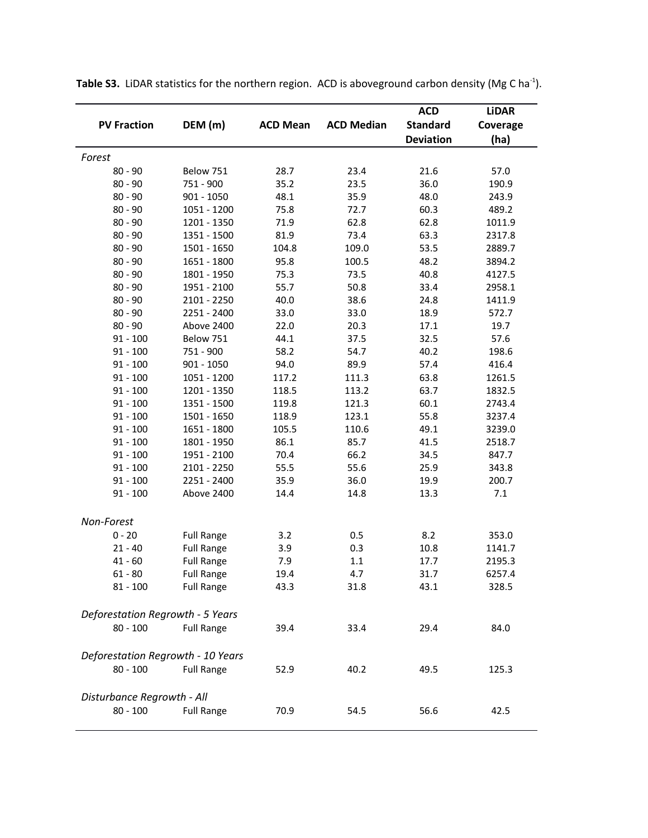| <b>PV Fraction</b>                | DEM (m)           | <b>ACD Mean</b> | <b>ACD Median</b> | <b>ACD</b><br><b>Standard</b><br><b>Deviation</b> | <b>LiDAR</b><br>Coverage<br>(ha) |  |  |  |
|-----------------------------------|-------------------|-----------------|-------------------|---------------------------------------------------|----------------------------------|--|--|--|
| Forest                            |                   |                 |                   |                                                   |                                  |  |  |  |
| $80 - 90$                         | Below 751         | 28.7            | 23.4              | 21.6                                              | 57.0                             |  |  |  |
| $80 - 90$                         | 751 - 900         | 35.2            | 23.5              | 36.0                                              | 190.9                            |  |  |  |
| $80 - 90$                         | $901 - 1050$      | 48.1            | 35.9              | 48.0                                              | 243.9                            |  |  |  |
| $80 - 90$                         | 1051 - 1200       | 75.8            | 72.7              | 60.3                                              | 489.2                            |  |  |  |
| $80 - 90$                         | 1201 - 1350       | 71.9            | 62.8              | 62.8                                              | 1011.9                           |  |  |  |
| $80 - 90$                         | 1351 - 1500       | 81.9            | 73.4              | 63.3                                              | 2317.8                           |  |  |  |
| $80 - 90$                         | 1501 - 1650       | 104.8           | 109.0             | 53.5                                              | 2889.7                           |  |  |  |
| $80 - 90$                         | 1651 - 1800       | 95.8            | 100.5             | 48.2                                              | 3894.2                           |  |  |  |
| $80 - 90$                         | 1801 - 1950       | 75.3            | 73.5              | 40.8                                              | 4127.5                           |  |  |  |
| $80 - 90$                         | 1951 - 2100       | 55.7            | 50.8              | 33.4                                              | 2958.1                           |  |  |  |
| $80 - 90$                         | 2101 - 2250       | 40.0            | 38.6              | 24.8                                              | 1411.9                           |  |  |  |
| $80 - 90$                         | 2251 - 2400       | 33.0            | 33.0              | 18.9                                              | 572.7                            |  |  |  |
| $80 - 90$                         | Above 2400        | 22.0            | 20.3              | 17.1                                              | 19.7                             |  |  |  |
| $91 - 100$                        | Below 751         | 44.1            | 37.5              | 32.5                                              | 57.6                             |  |  |  |
| $91 - 100$                        | 751 - 900         | 58.2            | 54.7              | 40.2                                              | 198.6                            |  |  |  |
| $91 - 100$                        | $901 - 1050$      | 94.0            | 89.9              | 57.4                                              | 416.4                            |  |  |  |
| $91 - 100$                        | 1051 - 1200       | 117.2           | 111.3             | 63.8                                              | 1261.5                           |  |  |  |
| $91 - 100$                        | 1201 - 1350       | 118.5           | 113.2             | 63.7                                              | 1832.5                           |  |  |  |
| $91 - 100$                        | 1351 - 1500       | 119.8           | 121.3             | 60.1                                              | 2743.4                           |  |  |  |
| $91 - 100$                        | 1501 - 1650       | 118.9           | 123.1             | 55.8                                              | 3237.4                           |  |  |  |
| $91 - 100$                        | 1651 - 1800       | 105.5           | 110.6             | 49.1                                              | 3239.0                           |  |  |  |
| $91 - 100$                        | 1801 - 1950       | 86.1            | 85.7              | 41.5                                              | 2518.7                           |  |  |  |
| $91 - 100$                        | 1951 - 2100       | 70.4            | 66.2              | 34.5                                              | 847.7                            |  |  |  |
| $91 - 100$                        | 2101 - 2250       | 55.5            | 55.6              | 25.9                                              | 343.8                            |  |  |  |
| $91 - 100$                        | 2251 - 2400       | 35.9            | 36.0              | 19.9                                              | 200.7                            |  |  |  |
| $91 - 100$                        | Above 2400        | 14.4            | 14.8              | 13.3                                              | 7.1                              |  |  |  |
| Non-Forest                        |                   |                 |                   |                                                   |                                  |  |  |  |
| $0 - 20$                          | <b>Full Range</b> | 3.2             | 0.5               | 8.2                                               | 353.0                            |  |  |  |
| $21 - 40$                         | <b>Full Range</b> | 3.9             | 0.3               | 10.8                                              | 1141.7                           |  |  |  |
| $41 - 60$                         | <b>Full Range</b> | 7.9             | 1.1               | 17.7                                              | 2195.3                           |  |  |  |
| $61 - 80$                         | <b>Full Range</b> | 19.4            | 4.7               | 31.7                                              | 6257.4                           |  |  |  |
| 81 - 100                          | <b>Full Range</b> | 43.3            | 31.8              | 43.1                                              | 328.5                            |  |  |  |
| Deforestation Regrowth - 5 Years  |                   |                 |                   |                                                   |                                  |  |  |  |
| $80 - 100$                        | <b>Full Range</b> | 39.4            | 33.4              | 29.4                                              | 84.0                             |  |  |  |
| Deforestation Regrowth - 10 Years |                   |                 |                   |                                                   |                                  |  |  |  |
| $80 - 100$                        | <b>Full Range</b> | 52.9            | 40.2              | 49.5                                              | 125.3                            |  |  |  |
| Disturbance Regrowth - All        |                   |                 |                   |                                                   |                                  |  |  |  |
| $80 - 100$                        | <b>Full Range</b> | 70.9            | 54.5              | 56.6                                              | 42.5                             |  |  |  |

Table S3. LiDAR statistics for the northern region. ACD is aboveground carbon density (Mg C ha<sup>-1</sup>).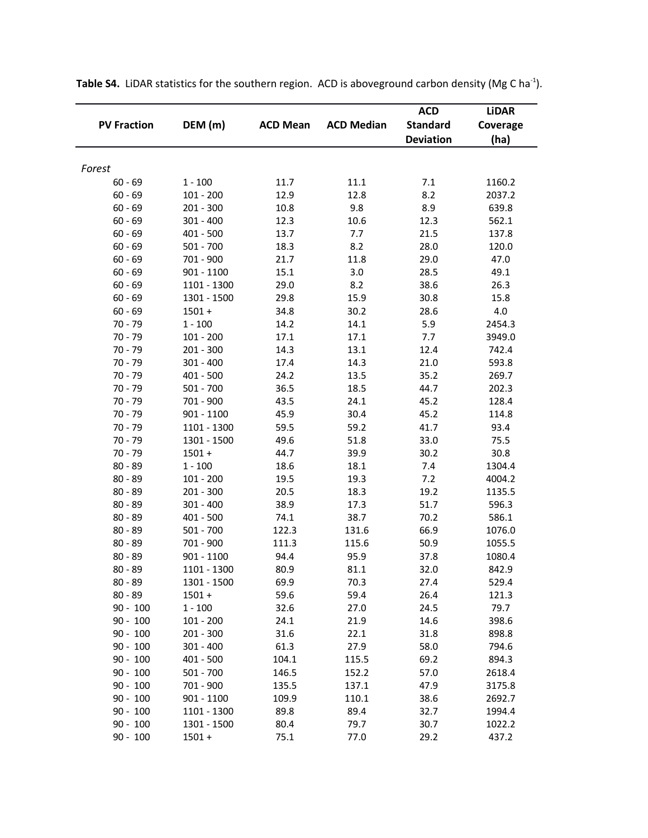|                    |              |                 |                   | <b>ACD</b>       | <b>LiDAR</b> |
|--------------------|--------------|-----------------|-------------------|------------------|--------------|
| <b>PV Fraction</b> | DEM (m)      | <b>ACD Mean</b> | <b>ACD Median</b> | <b>Standard</b>  | Coverage     |
|                    |              |                 |                   | <b>Deviation</b> | (ha)         |
|                    |              |                 |                   |                  |              |
| Forest             |              |                 |                   |                  |              |
| $60 - 69$          | $1 - 100$    | 11.7            | 11.1              | 7.1              | 1160.2       |
| $60 - 69$          | $101 - 200$  | 12.9            | 12.8              | 8.2              | 2037.2       |
| $60 - 69$          | $201 - 300$  | 10.8            | 9.8               | 8.9              | 639.8        |
| $60 - 69$          | $301 - 400$  | 12.3            | 10.6              | 12.3             | 562.1        |
| $60 - 69$          | $401 - 500$  | 13.7            | 7.7               | 21.5             | 137.8        |
| $60 - 69$          | $501 - 700$  | 18.3            | 8.2               | 28.0             | 120.0        |
| $60 - 69$          | 701 - 900    | 21.7            | 11.8              | 29.0             | 47.0         |
| $60 - 69$          | 901 - 1100   | 15.1            | 3.0               | 28.5             | 49.1         |
| $60 - 69$          | 1101 - 1300  | 29.0            | 8.2               | 38.6             | 26.3         |
| $60 - 69$          | 1301 - 1500  | 29.8            | 15.9              | 30.8             | 15.8         |
| $60 - 69$          | $1501 +$     | 34.8            | 30.2              | 28.6             | $4.0\,$      |
| $70 - 79$          | $1 - 100$    | 14.2            | 14.1              | 5.9              | 2454.3       |
| $70 - 79$          | $101 - 200$  | 17.1            | 17.1              | 7.7              | 3949.0       |
| $70 - 79$          | $201 - 300$  | 14.3            | 13.1              | 12.4             | 742.4        |
| $70 - 79$          | $301 - 400$  | 17.4            | 14.3              | 21.0             | 593.8        |
| $70 - 79$          | $401 - 500$  | 24.2            | 13.5              | 35.2             | 269.7        |
| $70 - 79$          | $501 - 700$  | 36.5            | 18.5              | 44.7             | 202.3        |
| $70 - 79$          | 701 - 900    | 43.5            | 24.1              | 45.2             | 128.4        |
| $70 - 79$          | $901 - 1100$ | 45.9            | 30.4              | 45.2             | 114.8        |
| $70 - 79$          | 1101 - 1300  | 59.5            | 59.2              | 41.7             | 93.4         |
| $70 - 79$          | 1301 - 1500  | 49.6            | 51.8              | 33.0             | 75.5         |
| $70 - 79$          | $1501 +$     | 44.7            | 39.9              | 30.2             | 30.8         |
| $80 - 89$          | $1 - 100$    | 18.6            | 18.1              | 7.4              | 1304.4       |
| $80 - 89$          | $101 - 200$  | 19.5            | 19.3              | 7.2              | 4004.2       |
| $80 - 89$          | 201 - 300    | 20.5            | 18.3              | 19.2             | 1135.5       |
| $80 - 89$          | $301 - 400$  | 38.9            | 17.3              | 51.7             | 596.3        |
| $80 - 89$          | $401 - 500$  | 74.1            | 38.7              | 70.2             | 586.1        |
| $80 - 89$          | $501 - 700$  | 122.3           | 131.6             | 66.9             | 1076.0       |
| $80 - 89$          | 701 - 900    | 111.3           | 115.6             | 50.9             | 1055.5       |
| $80 - 89$          | $901 - 1100$ | 94.4            | 95.9              | 37.8             | 1080.4       |
| $80 - 89$          | 1101 - 1300  | 80.9            | 81.1              | 32.0             | 842.9        |
| $80 - 89$          | 1301 - 1500  | 69.9            | 70.3              | 27.4             | 529.4        |
| $80 - 89$          | $1501 +$     | 59.6            | 59.4              | 26.4             | 121.3        |
| $90 - 100$         | $1 - 100$    | 32.6            | 27.0              | 24.5             | 79.7         |
| $90 - 100$         | $101 - 200$  | 24.1            | 21.9              | 14.6             | 398.6        |
| $90 - 100$         | 201 - 300    | 31.6            | 22.1              | 31.8             | 898.8        |
| $90 - 100$         | $301 - 400$  | 61.3            | 27.9              | 58.0             | 794.6        |
| $90 - 100$         | 401 - 500    | 104.1           | 115.5             | 69.2             | 894.3        |
| $90 - 100$         | $501 - 700$  | 146.5           | 152.2             | 57.0             | 2618.4       |
| $90 - 100$         | 701 - 900    | 135.5           | 137.1             | 47.9             | 3175.8       |
| $90 - 100$         | $901 - 1100$ | 109.9           | 110.1             | 38.6             | 2692.7       |
| $90 - 100$         | 1101 - 1300  | 89.8            | 89.4              | 32.7             | 1994.4       |
| $90 - 100$         | 1301 - 1500  | 80.4            | 79.7              | 30.7             | 1022.2       |
| $90 - 100$         | $1501 +$     | 75.1            | 77.0              | 29.2             | 437.2        |

Table S4. LiDAR statistics for the southern region. ACD is aboveground carbon density (Mg C ha<sup>-1</sup>).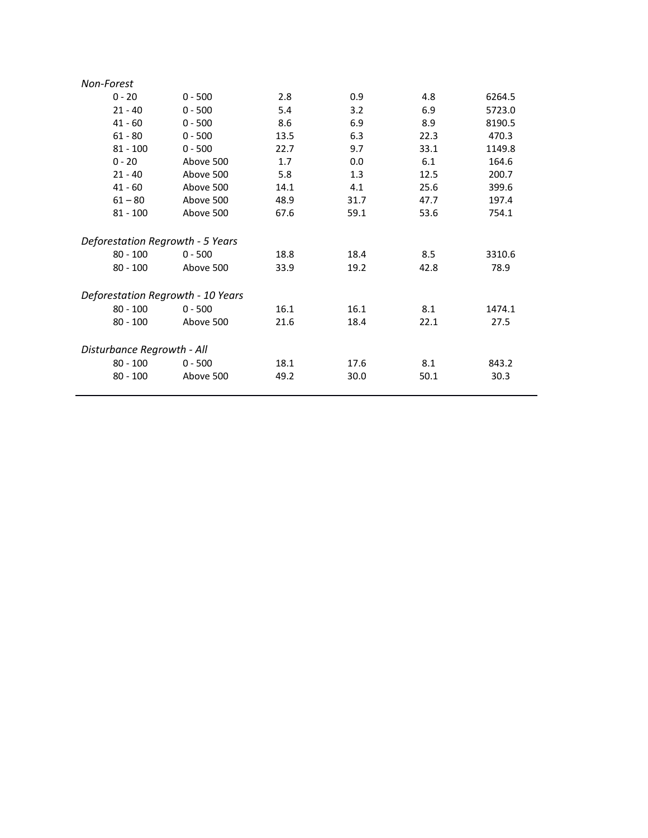| Non-Forest                        |           |      |      |      |        |  |  |  |
|-----------------------------------|-----------|------|------|------|--------|--|--|--|
| $0 - 20$                          | $0 - 500$ | 2.8  | 0.9  | 4.8  | 6264.5 |  |  |  |
| $21 - 40$                         | $0 - 500$ | 5.4  | 3.2  | 6.9  | 5723.0 |  |  |  |
| $41 - 60$                         | $0 - 500$ | 8.6  | 6.9  | 8.9  | 8190.5 |  |  |  |
| $61 - 80$                         | $0 - 500$ | 13.5 | 6.3  | 22.3 | 470.3  |  |  |  |
| $81 - 100$                        | $0 - 500$ | 22.7 | 9.7  | 33.1 | 1149.8 |  |  |  |
| $0 - 20$                          | Above 500 | 1.7  | 0.0  | 6.1  | 164.6  |  |  |  |
| $21 - 40$                         | Above 500 | 5.8  | 1.3  | 12.5 | 200.7  |  |  |  |
| $41 - 60$                         | Above 500 | 14.1 | 4.1  | 25.6 | 399.6  |  |  |  |
| $61 - 80$                         | Above 500 | 48.9 | 31.7 | 47.7 | 197.4  |  |  |  |
| $81 - 100$                        | Above 500 | 67.6 | 59.1 | 53.6 | 754.1  |  |  |  |
|                                   |           |      |      |      |        |  |  |  |
| Deforestation Regrowth - 5 Years  |           |      |      |      |        |  |  |  |
| $80 - 100$                        | $0 - 500$ | 18.8 | 18.4 | 8.5  | 3310.6 |  |  |  |
| $80 - 100$                        | Above 500 | 33.9 | 19.2 | 42.8 | 78.9   |  |  |  |
|                                   |           |      |      |      |        |  |  |  |
| Deforestation Regrowth - 10 Years |           |      |      |      |        |  |  |  |
| $80 - 100$                        | $0 - 500$ | 16.1 | 16.1 | 8.1  | 1474.1 |  |  |  |
| $80 - 100$                        | Above 500 | 21.6 | 18.4 | 22.1 | 27.5   |  |  |  |
|                                   |           |      |      |      |        |  |  |  |
| Disturbance Regrowth - All        |           |      |      |      |        |  |  |  |
| $80 - 100$                        | $0 - 500$ | 18.1 | 17.6 | 8.1  | 843.2  |  |  |  |
| $80 - 100$                        | Above 500 | 49.2 | 30.0 | 50.1 | 30.3   |  |  |  |
|                                   |           |      |      |      |        |  |  |  |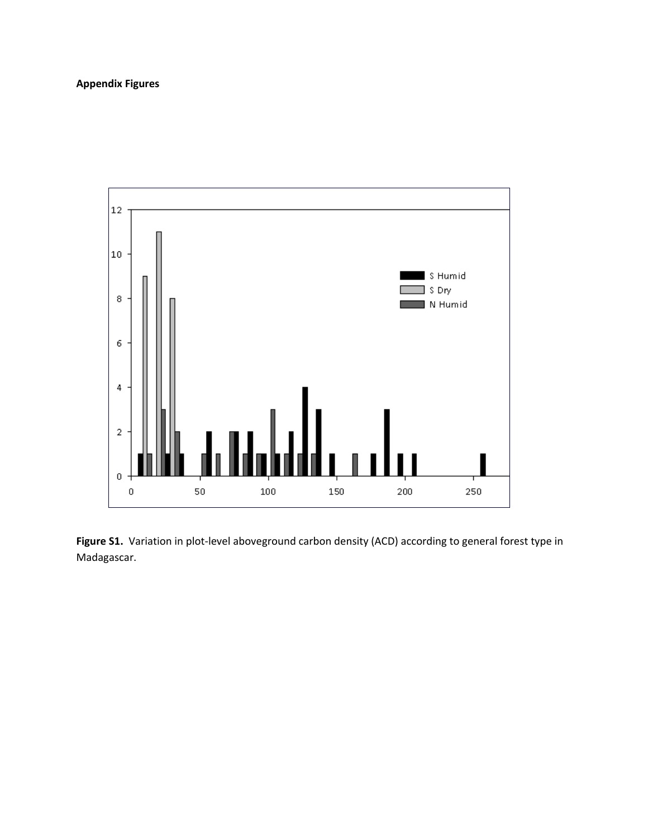# **Appendix Figures**



Figure S1. Variation in plot-level aboveground carbon density (ACD) according to general forest type in Madagascar.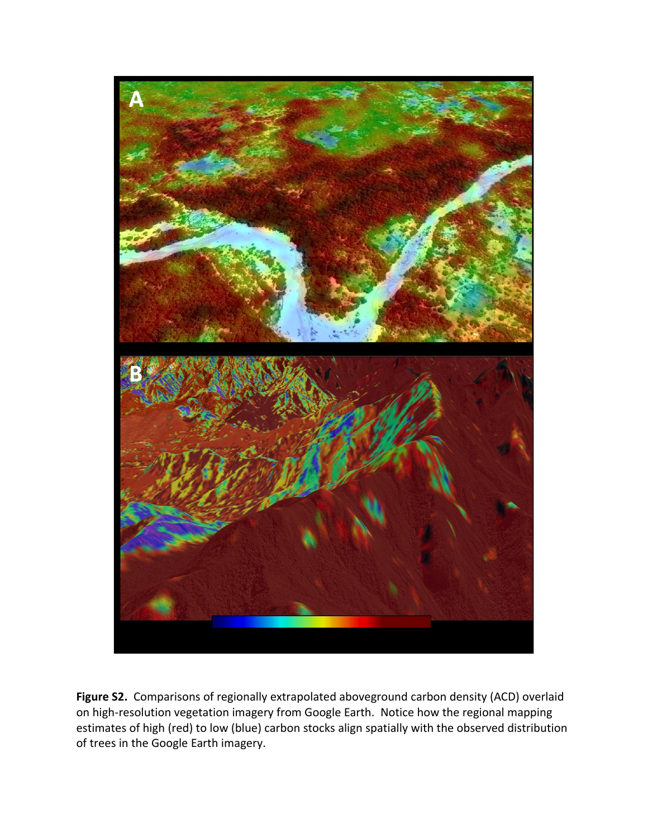

**Figure S2.** Comparisons of regionally extrapolated aboveground carbon density (ACD) overlaid on high-resolution vegetation imagery from Google Earth. Notice how the regional mapping estimates of high (red) to low (blue) carbon stocks align spatially with the observed distribution of trees in the Google Earth imagery.